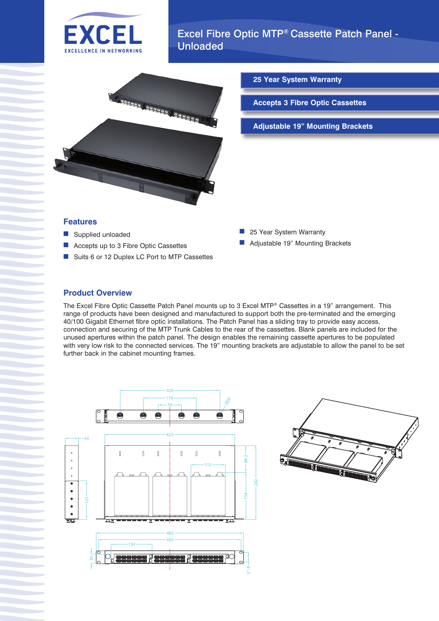



**25 Year System Warranty**

**Accepts 3 Fibre Optic Cassettes**

**Adjustable 19" Mounting Brackets**

#### **Features**

- Supplied unloaded
- Accepts up to 3 Fibre Optic Cassettes
- Suits 6 or 12 Duplex LC Port to MTP Cassettes
- 25 Year System Warranty
- Adjustable 19" Mounting Brackets

## **Product Overview**

The Excel Fibre Optic Cassette Patch Panel mounts up to 3 Excel MTP® Cassettes in a 19" arrangement. This range of products have been designed and manufactured to support both the pre-terminated and the emerging 40/100 Gigabit Ethernet fibre optic installations. The Patch Panel has a sliding tray to provide easy access, connection and securing of the MTP Trunk Cables to the rear of the cassettes. Blank panels are included for the unused apertures within the patch panel. The design enables the remaining cassette apertures to be populated with very low risk to the connected services. The 19" mounting brackets are adjustable to allow the panel to be set further back in the cabinet mounting frames.